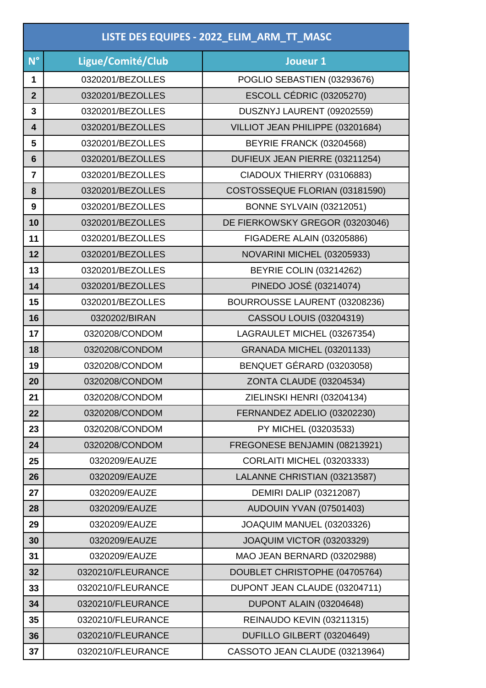|                 | LISTE DES EQUIPES - 2022_ELIM_ARM_TT_MASC |                                   |  |
|-----------------|-------------------------------------------|-----------------------------------|--|
| N <sup>°</sup>  | Ligue/Comité/Club                         | Joueur 1                          |  |
| 1               | 0320201/BEZOLLES                          | POGLIO SEBASTIEN (03293676)       |  |
| $\overline{2}$  | 0320201/BEZOLLES                          | ESCOLL CÉDRIC (03205270)          |  |
| 3               | 0320201/BEZOLLES                          | DUSZNYJ LAURENT (09202559)        |  |
| 4               | 0320201/BEZOLLES                          | VILLIOT JEAN PHILIPPE (03201684)  |  |
| 5               | 0320201/BEZOLLES                          | BEYRIE FRANCK (03204568)          |  |
| $6\phantom{1}6$ | 0320201/BEZOLLES                          | DUFIEUX JEAN PIERRE (03211254)    |  |
| $\overline{7}$  | 0320201/BEZOLLES                          | CIADOUX THIERRY (03106883)        |  |
| 8               | 0320201/BEZOLLES                          | COSTOSSEQUE FLORIAN (03181590)    |  |
| 9               | 0320201/BEZOLLES                          | <b>BONNE SYLVAIN (03212051)</b>   |  |
| 10              | 0320201/BEZOLLES                          | DE FIERKOWSKY GREGOR (03203046)   |  |
| 11              | 0320201/BEZOLLES                          | FIGADERE ALAIN (03205886)         |  |
| 12              | 0320201/BEZOLLES                          | NOVARINI MICHEL (03205933)        |  |
| 13              | 0320201/BEZOLLES                          | <b>BEYRIE COLIN (03214262)</b>    |  |
| 14              | 0320201/BEZOLLES                          | PINEDO JOSÉ (03214074)            |  |
| 15              | 0320201/BEZOLLES                          | BOURROUSSE LAURENT (03208236)     |  |
| 16              | 0320202/BIRAN                             | <b>CASSOU LOUIS (03204319)</b>    |  |
| 17              | 0320208/CONDOM                            | LAGRAULET MICHEL (03267354)       |  |
| 18              | 0320208/CONDOM                            | <b>GRANADA MICHEL (03201133)</b>  |  |
| 19              | 0320208/CONDOM                            | BENQUET GÉRARD (03203058)         |  |
| 20              | 0320208/CONDOM                            | ZONTA CLAUDE (03204534)           |  |
| 21              | 0320208/CONDOM                            | ZIELINSKI HENRI (03204134)        |  |
| 22              | 0320208/CONDOM                            | FERNANDEZ ADELIO (03202230)       |  |
| 23              | 0320208/CONDOM                            | PY MICHEL (03203533)              |  |
| 24              | 0320208/CONDOM                            | FREGONESE BENJAMIN (08213921)     |  |
| 25              | 0320209/EAUZE                             | <b>CORLAITI MICHEL (03203333)</b> |  |
| 26              | 0320209/EAUZE                             | LALANNE CHRISTIAN (03213587)      |  |
| 27              | 0320209/EAUZE                             | <b>DEMIRI DALIP (03212087)</b>    |  |
| 28              | 0320209/EAUZE                             | AUDOUIN YVAN (07501403)           |  |
| 29              | 0320209/EAUZE                             | JOAQUIM MANUEL (03203326)         |  |
| 30              | 0320209/EAUZE                             | JOAQUIM VICTOR (03203329)         |  |
| 31              | 0320209/EAUZE                             | MAO JEAN BERNARD (03202988)       |  |
| 32              | 0320210/FLEURANCE                         | DOUBLET CHRISTOPHE (04705764)     |  |
| 33              | 0320210/FLEURANCE                         | DUPONT JEAN CLAUDE (03204711)     |  |
| 34              | 0320210/FLEURANCE                         | DUPONT ALAIN (03204648)           |  |
| 35              | 0320210/FLEURANCE                         | REINAUDO KEVIN (03211315)         |  |
| 36              | 0320210/FLEURANCE                         | DUFILLO GILBERT (03204649)        |  |
| 37              | 0320210/FLEURANCE                         | CASSOTO JEAN CLAUDE (03213964)    |  |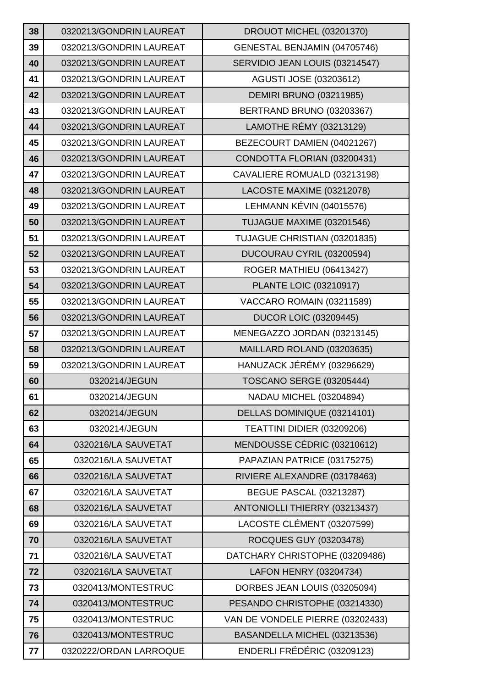| 38 | 0320213/GONDRIN LAUREAT | DROUOT MICHEL (03201370)         |
|----|-------------------------|----------------------------------|
| 39 | 0320213/GONDRIN LAUREAT | GENESTAL BENJAMIN (04705746)     |
| 40 | 0320213/GONDRIN LAUREAT | SERVIDIO JEAN LOUIS (03214547)   |
| 41 | 0320213/GONDRIN LAUREAT | AGUSTI JOSE (03203612)           |
| 42 | 0320213/GONDRIN LAUREAT | <b>DEMIRI BRUNO (03211985)</b>   |
| 43 | 0320213/GONDRIN LAUREAT | BERTRAND BRUNO (03203367)        |
| 44 | 0320213/GONDRIN LAUREAT | LAMOTHE RÉMY (03213129)          |
| 45 | 0320213/GONDRIN LAUREAT | BEZECOURT DAMIEN (04021267)      |
| 46 | 0320213/GONDRIN LAUREAT | CONDOTTA FLORIAN (03200431)      |
| 47 | 0320213/GONDRIN LAUREAT | CAVALIERE ROMUALD (03213198)     |
| 48 | 0320213/GONDRIN LAUREAT | LACOSTE MAXIME (03212078)        |
| 49 | 0320213/GONDRIN LAUREAT | LEHMANN KÉVIN (04015576)         |
| 50 | 0320213/GONDRIN LAUREAT | TUJAGUE MAXIME (03201546)        |
| 51 | 0320213/GONDRIN LAUREAT | TUJAGUE CHRISTIAN (03201835)     |
| 52 | 0320213/GONDRIN LAUREAT | DUCOURAU CYRIL (03200594)        |
| 53 | 0320213/GONDRIN LAUREAT | ROGER MATHIEU (06413427)         |
| 54 | 0320213/GONDRIN LAUREAT | <b>PLANTE LOIC (03210917)</b>    |
| 55 | 0320213/GONDRIN LAUREAT | VACCARO ROMAIN (03211589)        |
| 56 | 0320213/GONDRIN LAUREAT | <b>DUCOR LOIC (03209445)</b>     |
| 57 | 0320213/GONDRIN LAUREAT | MENEGAZZO JORDAN (03213145)      |
| 58 | 0320213/GONDRIN LAUREAT | MAILLARD ROLAND (03203635)       |
| 59 | 0320213/GONDRIN LAUREAT | HANUZACK JÉRÉMY (03296629)       |
| 60 | 0320214/JEGUN           | <b>TOSCANO SERGE (03205444)</b>  |
| 61 | 0320214/JEGUN           | NADAU MICHEL (03204894)          |
| 62 | 0320214/JEGUN           | DELLAS DOMINIQUE (03214101)      |
| 63 | 0320214/JEGUN           | TEATTINI DIDIER (03209206)       |
| 64 | 0320216/LA SAUVETAT     | MENDOUSSE CÉDRIC (03210612)      |
| 65 | 0320216/LA SAUVETAT     | PAPAZIAN PATRICE (03175275)      |
| 66 | 0320216/LA SAUVETAT     | RIVIERE ALEXANDRE (03178463)     |
| 67 | 0320216/LA SAUVETAT     | <b>BEGUE PASCAL (03213287)</b>   |
| 68 | 0320216/LA SAUVETAT     | ANTONIOLLI THIERRY (03213437)    |
| 69 | 0320216/LA SAUVETAT     | LACOSTE CLÉMENT (03207599)       |
| 70 | 0320216/LA SAUVETAT     | ROCQUES GUY (03203478)           |
| 71 | 0320216/LA SAUVETAT     | DATCHARY CHRISTOPHE (03209486)   |
| 72 | 0320216/LA SAUVETAT     | LAFON HENRY (03204734)           |
| 73 | 0320413/MONTESTRUC      | DORBES JEAN LOUIS (03205094)     |
| 74 | 0320413/MONTESTRUC      | PESANDO CHRISTOPHE (03214330)    |
| 75 | 0320413/MONTESTRUC      | VAN DE VONDELE PIERRE (03202433) |
| 76 | 0320413/MONTESTRUC      | BASANDELLA MICHEL (03213536)     |
| 77 | 0320222/ORDAN LARROQUE  | ENDERLI FRÉDÉRIC (03209123)      |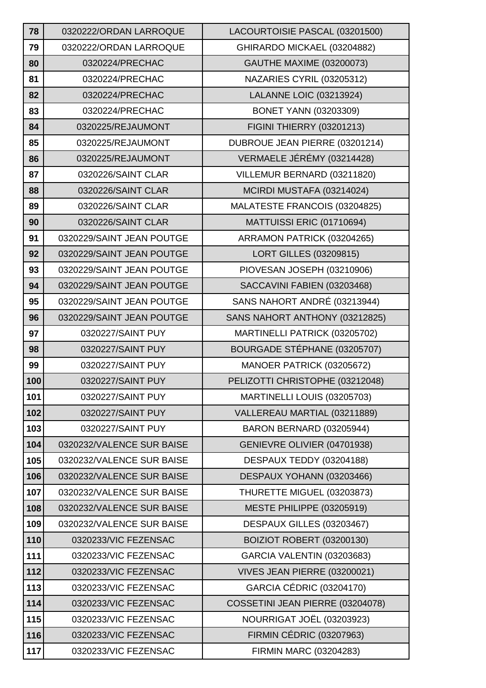| 78  | 0320222/ORDAN LARROQUE    | LACOURTOISIE PASCAL (03201500)   |
|-----|---------------------------|----------------------------------|
| 79  | 0320222/ORDAN LARROQUE    | GHIRARDO MICKAEL (03204882)      |
| 80  | 0320224/PRECHAC           | <b>GAUTHE MAXIME (03200073)</b>  |
| 81  | 0320224/PRECHAC           | NAZARIES CYRIL (03205312)        |
| 82  | 0320224/PRECHAC           | <b>LALANNE LOIC (03213924)</b>   |
| 83  | 0320224/PRECHAC           | <b>BONET YANN (03203309)</b>     |
| 84  | 0320225/REJAUMONT         | <b>FIGINI THIERRY (03201213)</b> |
| 85  | 0320225/REJAUMONT         | DUBROUE JEAN PIERRE (03201214)   |
| 86  | 0320225/REJAUMONT         | VERMAELE JÉRÉMY (03214428)       |
| 87  | 0320226/SAINT CLAR        | VILLEMUR BERNARD (03211820)      |
| 88  | 0320226/SAINT CLAR        | MCIRDI MUSTAFA (03214024)        |
| 89  | 0320226/SAINT CLAR        | MALATESTE FRANCOIS (03204825)    |
| 90  | 0320226/SAINT CLAR        | MATTUISSI ERIC (01710694)        |
| 91  | 0320229/SAINT JEAN POUTGE | ARRAMON PATRICK (03204265)       |
| 92  | 0320229/SAINT JEAN POUTGE | <b>LORT GILLES (03209815)</b>    |
| 93  | 0320229/SAINT JEAN POUTGE | PIOVESAN JOSEPH (03210906)       |
| 94  | 0320229/SAINT JEAN POUTGE | SACCAVINI FABIEN (03203468)      |
| 95  | 0320229/SAINT JEAN POUTGE | SANS NAHORT ANDRÉ (03213944)     |
| 96  | 0320229/SAINT JEAN POUTGE | SANS NAHORT ANTHONY (03212825)   |
| 97  | 0320227/SAINT PUY         | MARTINELLI PATRICK (03205702)    |
| 98  | 0320227/SAINT PUY         | BOURGADE STÉPHANE (03205707)     |
| 99  | 0320227/SAINT PUY         | MANOER PATRICK (03205672)        |
| 100 | 0320227/SAINT PUY         | PELIZOTTI CHRISTOPHE (03212048)  |
| 101 | 0320227/SAINT PUY         | MARTINELLI LOUIS (03205703)      |
| 102 | 0320227/SAINT PUY         | VALLEREAU MARTIAL (03211889)     |
| 103 | 0320227/SAINT PUY         | BARON BERNARD (03205944)         |
| 104 | 0320232/VALENCE SUR BAISE | GENIEVRE OLIVIER (04701938)      |
| 105 | 0320232/VALENCE SUR BAISE | DESPAUX TEDDY (03204188)         |
| 106 | 0320232/VALENCE SUR BAISE | DESPAUX YOHANN (03203466)        |
| 107 | 0320232/VALENCE SUR BAISE | THURETTE MIGUEL (03203873)       |
| 108 | 0320232/VALENCE SUR BAISE | <b>MESTE PHILIPPE (03205919)</b> |
| 109 | 0320232/VALENCE SUR BAISE | DESPAUX GILLES (03203467)        |
| 110 | 0320233/VIC FEZENSAC      | BOIZIOT ROBERT (03200130)        |
| 111 | 0320233/VIC FEZENSAC      | GARCIA VALENTIN (03203683)       |
| 112 | 0320233/VIC FEZENSAC      | VIVES JEAN PIERRE (03200021)     |
| 113 | 0320233/VIC FEZENSAC      | GARCIA CÉDRIC (03204170)         |
| 114 | 0320233/VIC FEZENSAC      | COSSETINI JEAN PIERRE (03204078) |
| 115 | 0320233/VIC FEZENSAC      | NOURRIGAT JOËL (03203923)        |
| 116 | 0320233/VIC FEZENSAC      | FIRMIN CÉDRIC (03207963)         |
| 117 | 0320233/VIC FEZENSAC      | FIRMIN MARC (03204283)           |